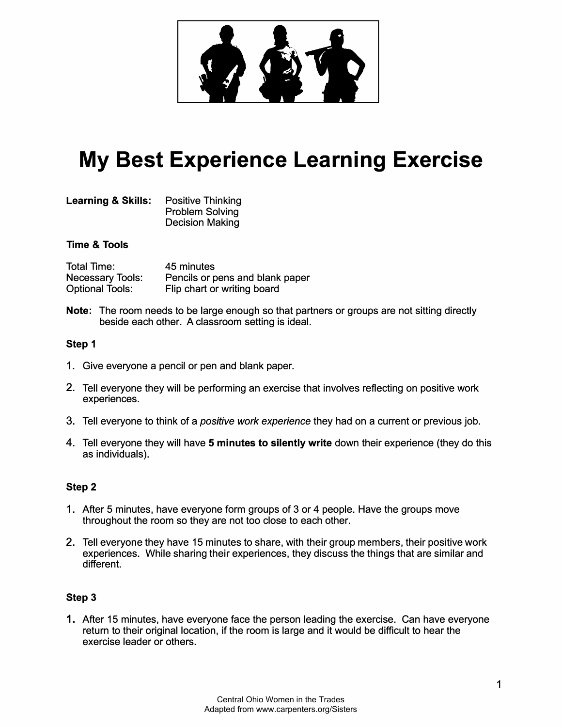

# **My Best Experience Learning Exercise**

| <b>Learning &amp; Skills:</b> | <b>Positive Thinking</b> |
|-------------------------------|--------------------------|
|                               | <b>Problem Solving</b>   |
|                               | <b>Decision Making</b>   |

## **Time & Tools**

| Total Time:             | 45 minutes                      |
|-------------------------|---------------------------------|
| <b>Necessary Tools:</b> | Pencils or pens and blank paper |
| <b>Optional Tools:</b>  | Flip chart or writing board     |

**Note:** The room needs to be large enough so that partners or groups are not sitting directly beside each other. A classroom setting is ideal.

## **Step 1**

- 1. Give everyone a pencil or pen and blank paper.
- 2. Tell everyone they will be performing an exercise that involves reflecting on positive work experiences.
- 3. Tell everyone to think of a *positive work experience* they had on a current or previous job.
- 4. Tell everyone they will have **5 minutes to silently write** down their experience (they do this as individuals).

# **Step 2**

- 1. After 5 minutes, have everyone form groups of 3 or 4 people. Have the groups move throughout the room so they are not too close to each other.
- 2. Tell everyone they have 15 minutes to share, with their group members, their positive work experiences. While sharing their experiences, they discuss the things that are similar and different.

## **Step 3**

1. After 15 minutes, have everyone face the person leading the exercise. Can have everyone return to their original location, if the room is large and it would be difficult to hear the exercise leader or others.